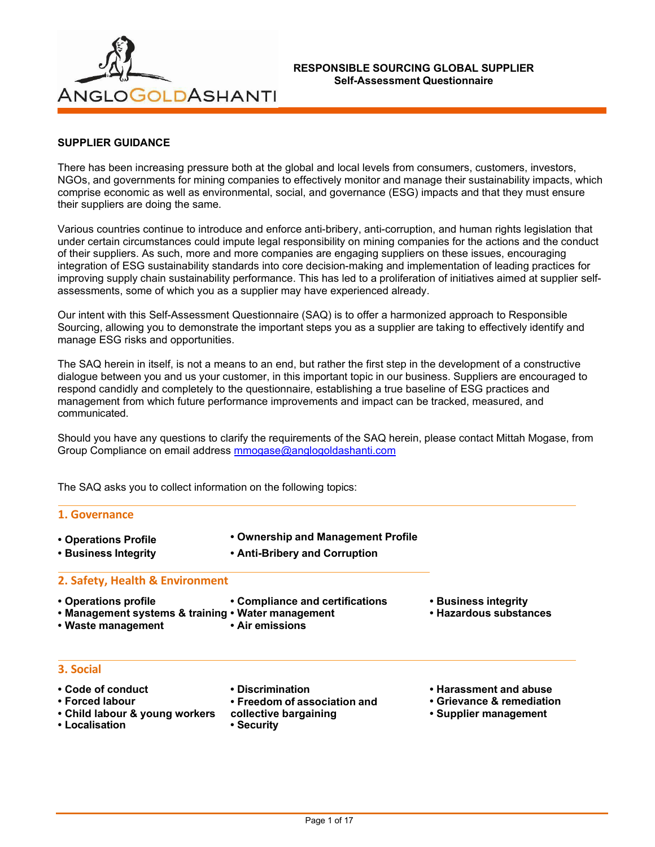

## **SUPPLIER GUIDANCE**

There has been increasing pressure both at the global and local levels from consumers, customers, investors, NGOs, and governments for mining companies to effectively monitor and manage their sustainability impacts, which comprise economic as well as environmental, social, and governance (ESG) impacts and that they must ensure their suppliers are doing the same.

Various countries continue to introduce and enforce anti-bribery, anti-corruption, and human rights legislation that under certain circumstances could impute legal responsibility on mining companies for the actions and the conduct of their suppliers. As such, more and more companies are engaging suppliers on these issues, encouraging integration of ESG sustainability standards into core decision-making and implementation of leading practices for improving supply chain sustainability performance. This has led to a proliferation of initiatives aimed at supplier selfassessments, some of which you as a supplier may have experienced already.

Our intent with this Self-Assessment Questionnaire (SAQ) is to offer a harmonized approach to Responsible Sourcing, allowing you to demonstrate the important steps you as a supplier are taking to effectively identify and manage ESG risks and opportunities.

The SAQ herein in itself, is not a means to an end, but rather the first step in the development of a constructive dialogue between you and us your customer, in this important topic in our business. Suppliers are encouraged to respond candidly and completely to the questionnaire, establishing a true baseline of ESG practices and management from which future performance improvements and impact can be tracked, measured, and communicated.

Should you have any questions to clarify the requirements of the SAQ herein, please contact Mittah Mogase, from Group Compliance on email address [mmogase@anglogoldashanti.com](mailto:mmogase@anglogoldashanti.com)

The SAQ asks you to collect information on the following topics:

| 1. Governance                                                                                    |                                                                                                      |                                                                              |
|--------------------------------------------------------------------------------------------------|------------------------------------------------------------------------------------------------------|------------------------------------------------------------------------------|
| • Operations Profile<br>• Business Integrity                                                     | • Ownership and Management Profile<br>• Anti-Bribery and Corruption                                  |                                                                              |
| 2. Safety, Health & Environment                                                                  | • Compliance and certifications<br>• Business integrity<br>• Hazardous substances<br>• Air emissions |                                                                              |
| • Operations profile<br>• Management systems & training • Water management<br>• Waste management |                                                                                                      |                                                                              |
| 3. Social                                                                                        |                                                                                                      |                                                                              |
| • Code of conduct<br>• Forced labour<br>• Child labour & young workers<br>• Localisation         | • Discrimination<br>• Freedom of association and<br>collective bargaining<br>• Security              | • Harassment and abuse<br>• Grievance & remediation<br>• Supplier management |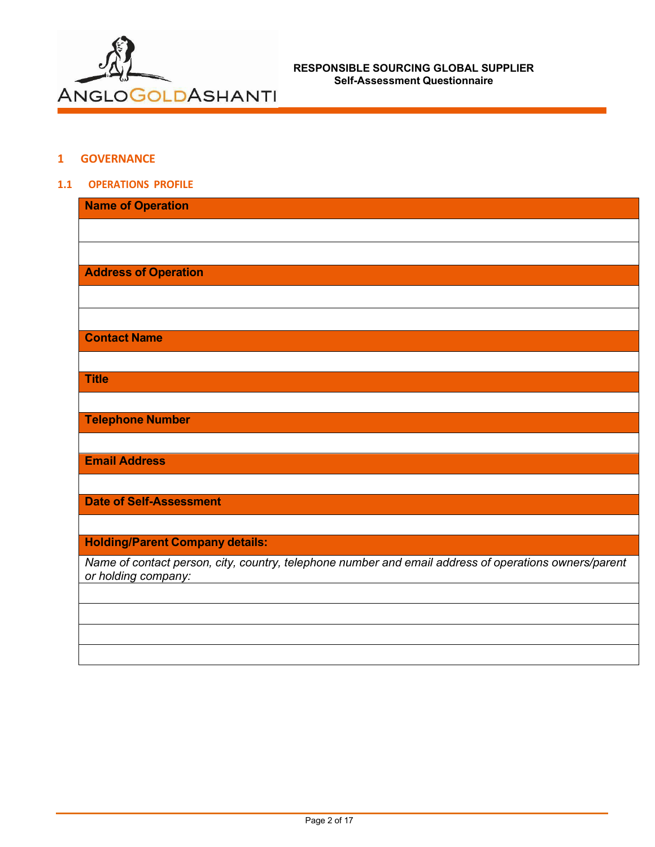

## **1 GOVERNANCE**

### **1.1 OPERATIONS PROFILE**

| <b>Name of Operation</b>                                                                                                     |
|------------------------------------------------------------------------------------------------------------------------------|
|                                                                                                                              |
|                                                                                                                              |
| <b>Address of Operation</b>                                                                                                  |
|                                                                                                                              |
|                                                                                                                              |
| <b>Contact Name</b>                                                                                                          |
|                                                                                                                              |
| <b>Title</b>                                                                                                                 |
|                                                                                                                              |
| <b>Telephone Number</b>                                                                                                      |
|                                                                                                                              |
| <b>Email Address</b>                                                                                                         |
|                                                                                                                              |
| <b>Date of Self-Assessment</b>                                                                                               |
|                                                                                                                              |
| <b>Holding/Parent Company details:</b>                                                                                       |
| Name of contact person, city, country, telephone number and email address of operations owners/parent<br>or holding company: |
|                                                                                                                              |
|                                                                                                                              |
|                                                                                                                              |
|                                                                                                                              |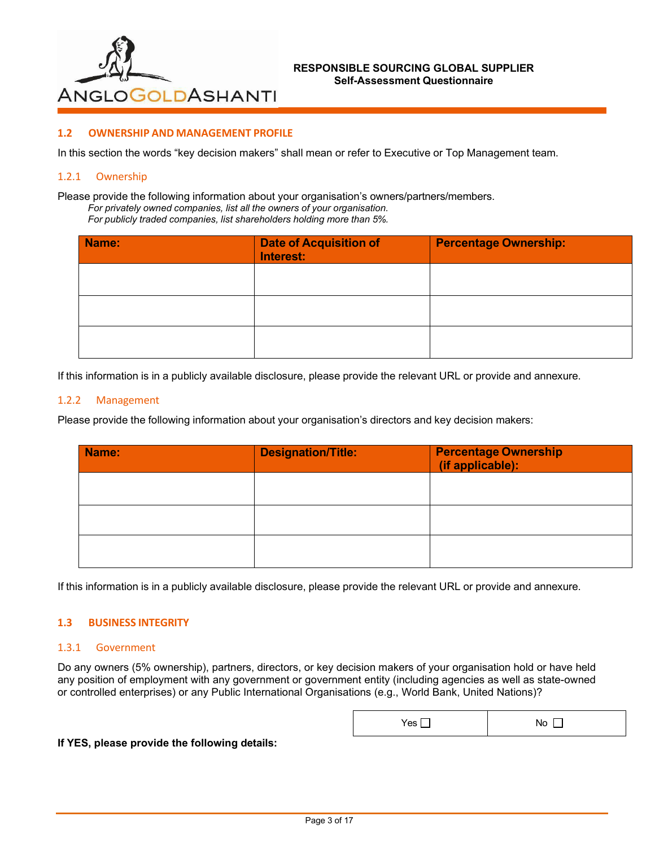

## **1.2 OWNERSHIP AND MANAGEMENT PROFILE**

In this section the words "key decision makers" shall mean or refer to Executive or Top Management team.

#### 1.2.1 Ownership

Please provide the following information about your organisation's owners/partners/members. *For privately owned companies, list all the owners of your organisation. For publicly traded companies, list shareholders holding more than 5%.*

| Name: | <b>Date of Acquisition of</b><br>Interest: | <b>Percentage Ownership:</b> |
|-------|--------------------------------------------|------------------------------|
|       |                                            |                              |
|       |                                            |                              |
|       |                                            |                              |

If this information is in a publicly available disclosure, please provide the relevant URL or provide and annexure.

#### 1.2.2 Management

Please provide the following information about your organisation's directors and key decision makers:

| Name: | <b>Designation/Title:</b> | <b>Percentage Ownership</b><br>(if applicable): |
|-------|---------------------------|-------------------------------------------------|
|       |                           |                                                 |
|       |                           |                                                 |
|       |                           |                                                 |

If this information is in a publicly available disclosure, please provide the relevant URL or provide and annexure.

### **1.3 BUSINESS INTEGRITY**

#### 1.3.1 Government

Do any owners (5% ownership), partners, directors, or key decision makers of your organisation hold or have held any position of employment with any government or government entity (including agencies as well as state-owned or controlled enterprises) or any Public International Organisations (e.g., World Bank, United Nations)?

| Yes [ | No<br>- |
|-------|---------|
|-------|---------|

#### **If YES, please provide the following details:**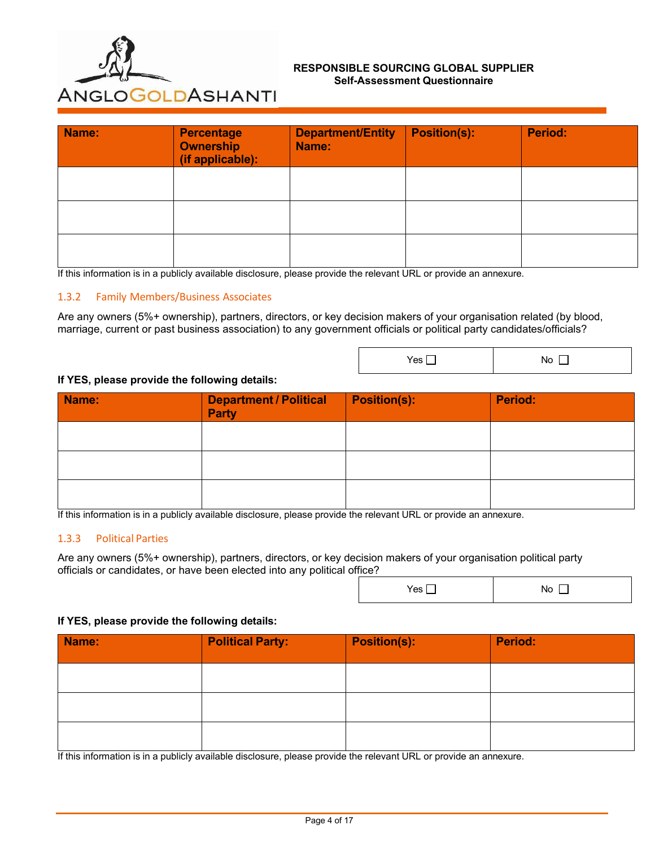

| Name: | <b>Percentage</b><br><b>Ownership</b><br>(if applicable): | <b>Department/Entity</b><br>Name: | <b>Position(s):</b> | <b>Period:</b> |
|-------|-----------------------------------------------------------|-----------------------------------|---------------------|----------------|
|       |                                                           |                                   |                     |                |
|       |                                                           |                                   |                     |                |
|       |                                                           |                                   |                     |                |

If this information is in a publicly available disclosure, please provide the relevant URL or provide an annexure.

### 1.3.2 Family Members/Business Associates

Are any owners (5%+ ownership), partners, directors, or key decision makers of your organisation related (by blood, marriage, current or past business association) to any government officials or political party candidates/officials?

 $Yes \Box$  No  $\Box$ 

 $Yes \Box$  No  $\Box$ 

#### **If YES, please provide the following details:**

| Name: | Department / Political<br><b>Party</b> | <b>Position(s):</b> | <b>Period:</b> |
|-------|----------------------------------------|---------------------|----------------|
|       |                                        |                     |                |
|       |                                        |                     |                |
|       |                                        |                     |                |

If this information is in a publicly available disclosure, please provide the relevant URL or provide an annexure.

### 1.3.3 Political Parties

Are any owners (5%+ ownership), partners, directors, or key decision makers of your organisation political party officials or candidates, or have been elected into any political office?

#### **If YES, please provide the following details:**

| Name: | <b>Political Party:</b> | <b>Position(s):</b> | <b>Period:</b> |
|-------|-------------------------|---------------------|----------------|
|       |                         |                     |                |
|       |                         |                     |                |
|       |                         |                     |                |

If this information is in a publicly available disclosure, please provide the relevant URL or provide an annexure.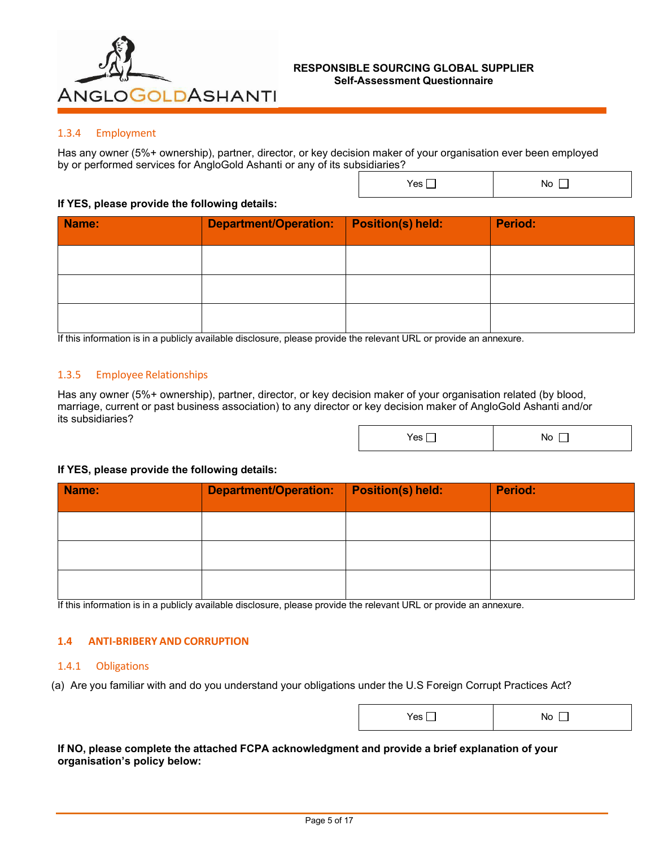

## 1.3.4 Employment

Has any owner (5%+ ownership), partner, director, or key decision maker of your organisation ever been employed by or performed services for AngloGold Ashanti or any of its subsidiaries?

## **If YES, please provide the following details:**

| Name: | <b>Department/Operation:</b> | <b>Position(s) held:</b> | <b>Period:</b> |
|-------|------------------------------|--------------------------|----------------|
|       |                              |                          |                |
|       |                              |                          |                |
|       |                              |                          |                |

If this information is in a publicly available disclosure, please provide the relevant URL or provide an annexure.

## 1.3.5 Employee Relationships

Has any owner (5%+ ownership), partner, director, or key decision maker of your organisation related (by blood, marriage, current or past business association) to any director or key decision maker of AngloGold Ashanti and/or its subsidiaries?

| Yes | No |
|-----|----|
|-----|----|

 $Yes \Box$  No  $\Box$ 

### **If YES, please provide the following details:**

| Name: | <b>Department/Operation:</b> | <b>Position(s) held:</b> | <b>Period:</b> |
|-------|------------------------------|--------------------------|----------------|
|       |                              |                          |                |
|       |                              |                          |                |
|       |                              |                          |                |

If this information is in a publicly available disclosure, please provide the relevant URL or provide an annexure.

### **1.4 ANTI-BRIBERY AND CORRUPTION**

## 1.4.1 Obligations

(a) Are you familiar with and do you understand your obligations under the U.S Foreign Corrupt Practices Act?

| $\sim$<br><b>INO</b><br>1 CS |
|------------------------------|
|------------------------------|

**If NO, please complete the attached FCPA acknowledgment and provide a brief explanation of your organisation's policy below:**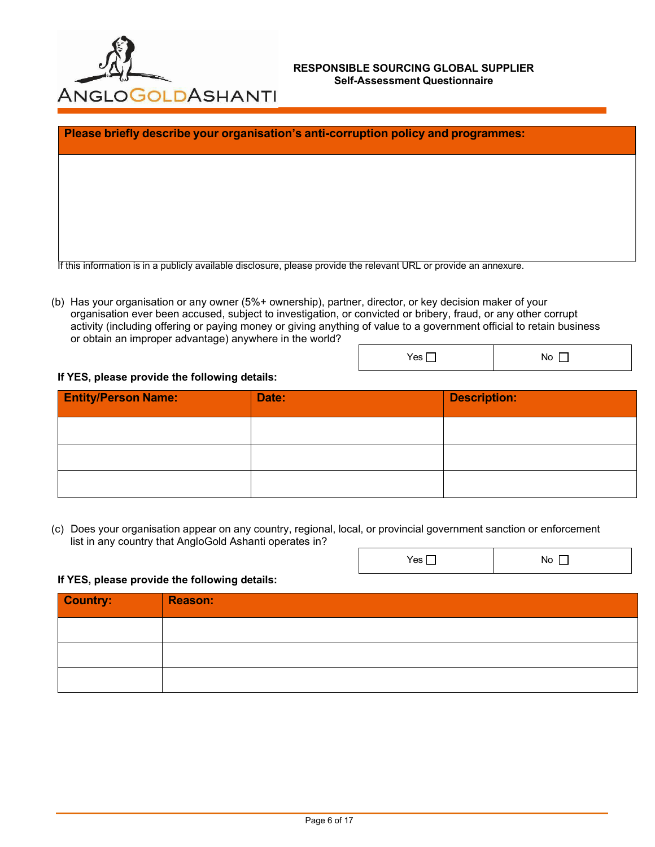

 $Yes \Box$  No  $\Box$ 

Yes No

|                          |          |               |          |                     | Please briefly describe your organisation's anti-corruption policy and programmes: |  |
|--------------------------|----------|---------------|----------|---------------------|------------------------------------------------------------------------------------|--|
|                          |          |               |          |                     |                                                                                    |  |
|                          |          |               |          |                     |                                                                                    |  |
|                          |          |               |          |                     |                                                                                    |  |
| $\overline{\phantom{a}}$ | $\cdots$ | .<br>$\cdots$ | $\cdots$ | $\overline{\cdots}$ | $\overline{\phantom{a}}$                                                           |  |

If this information is in a publicly available disclosure, please provide the relevant URL or provide an annexure.

(b) Has your organisation or any owner (5%+ ownership), partner, director, or key decision maker of your organisation ever been accused, subject to investigation, or convicted or bribery, fraud, or any other corrupt activity (including offering or paying money or giving anything of value to a government official to retain business or obtain an improper advantage) anywhere in the world?

# **If YES, please provide the following details:**

| <b>Entity/Person Name:</b> | Date: | <b>Description:</b> |
|----------------------------|-------|---------------------|
|                            |       |                     |
|                            |       |                     |
|                            |       |                     |

(c) Does your organisation appear on any country, regional, local, or provincial government sanction or enforcement list in any country that AngloGold Ashanti operates in?

### **If YES, please provide the following details:**

| Country: | <b>Reason:</b> |
|----------|----------------|
|          |                |
|          |                |
|          |                |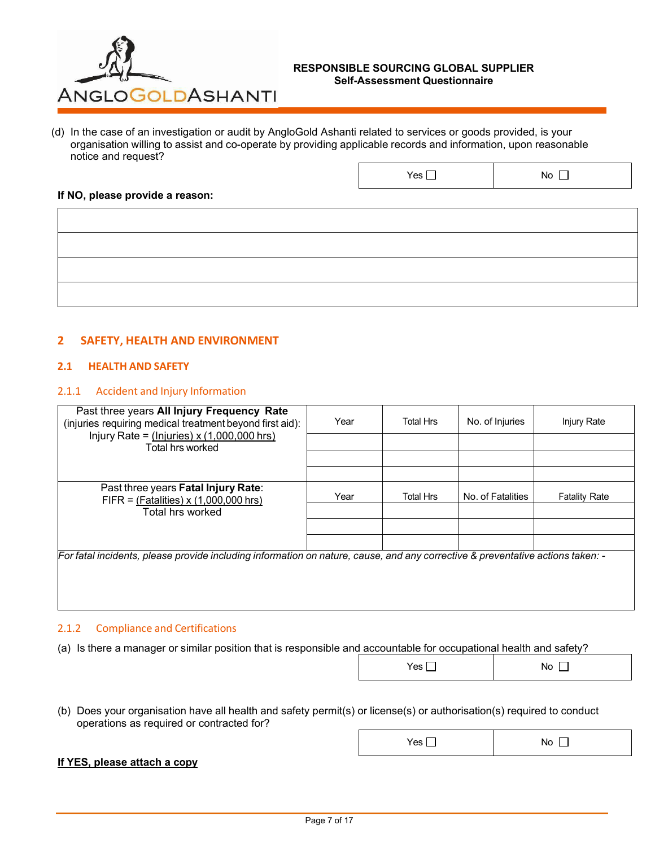

Yes No

(d) In the case of an investigation or audit by AngloGold Ashanti related to services or goods provided, is your organisation willing to assist and co-operate by providing applicable records and information, upon reasonable notice and request?

#### **If NO, please provide a reason:**

## **2 SAFETY, HEALTH AND ENVIRONMENT**

## **2.1 HEALTH AND SAFETY**

## 2.1.1 Accident and Injury Information

| Year<br>(injuries requiring medical treatment beyond first aid): | <b>Total Hrs</b> | No. of Injuries   | Injury Rate                                                                                                                    |
|------------------------------------------------------------------|------------------|-------------------|--------------------------------------------------------------------------------------------------------------------------------|
|                                                                  |                  |                   |                                                                                                                                |
|                                                                  |                  |                   |                                                                                                                                |
| Year                                                             | <b>Total Hrs</b> | No. of Fatalities | <b>Fatality Rate</b>                                                                                                           |
|                                                                  |                  |                   |                                                                                                                                |
|                                                                  |                  |                   |                                                                                                                                |
|                                                                  |                  |                   |                                                                                                                                |
|                                                                  |                  |                   |                                                                                                                                |
|                                                                  |                  |                   |                                                                                                                                |
|                                                                  |                  |                   | For fatal incidents, please provide including information on nature, cause, and any corrective & preventative actions taken: - |

### 2.1.2 Compliance and Certifications

(a) Is there a manager or similar position that is responsible and accountable for occupational health and safety?

| (b) Does your organisation have all health and safety permit(s) or license(s) or authorisation(s) required to conduct |
|-----------------------------------------------------------------------------------------------------------------------|
| operations as required or contracted for?                                                                             |

### **If YES, please attach a copy**

| Yes | No |
|-----|----|
|     |    |
|     |    |

 $Yes \Box$  No  $\Box$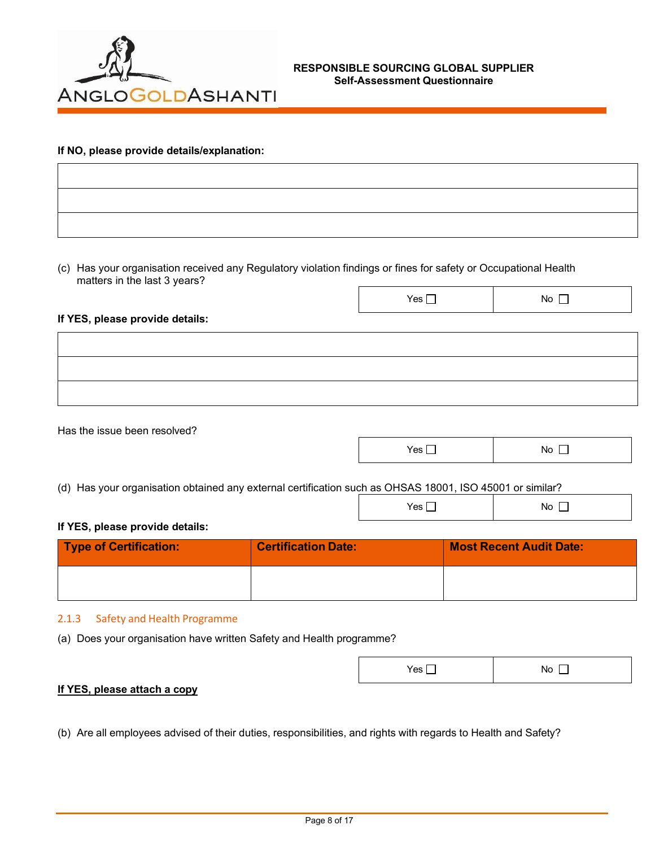

### **If NO, please provide details/explanation:**

(c) Has your organisation received any Regulatory violation findings or fines for safety or Occupational Health matters in the last 3 years?

#### **If YES, please provide details:**

Has the issue been resolved?

| Yes | No |
|-----|----|
|     |    |

Yes No

Yes No

(d) Has your organisation obtained any external certification such as OHSAS 18001, ISO 45001 or similar?

## **If YES, please provide details:**

| <b>Type of Certification:</b> | <b>Certification Date:</b> | <b>Most Recent Audit Date:</b> |
|-------------------------------|----------------------------|--------------------------------|
|                               |                            |                                |

### 2.1.3 Safety and Health Programme

(a) Does your organisation have written Safety and Health programme?

| Yes | No. |
|-----|-----|
|     |     |

### **If YES, please attach a copy**

(b) Are all employees advised of their duties, responsibilities, and rights with regards to Health and Safety?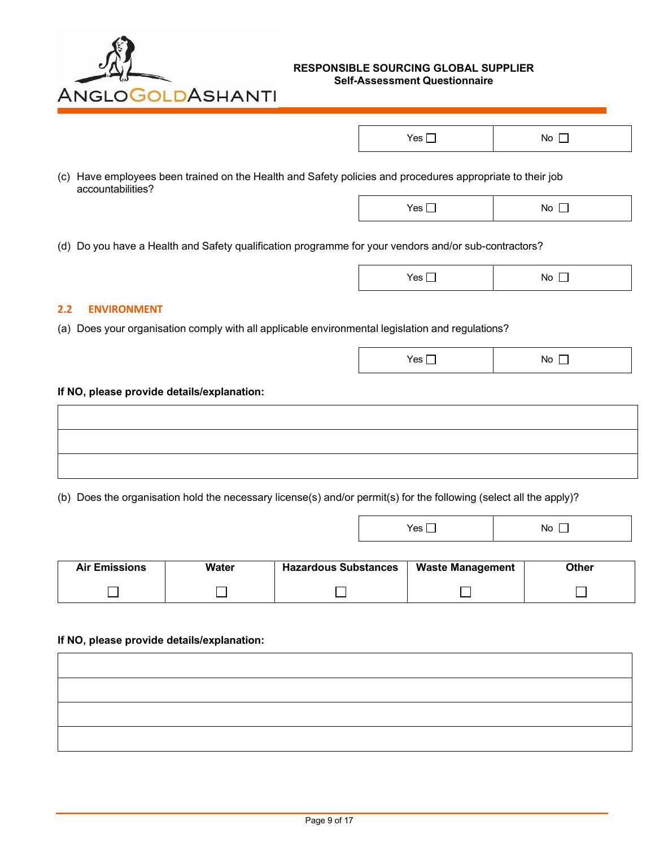

| Yes<br>٦U |
|-----------|
|-----------|

(c) Have employees been trained on the Health and Safety policies and procedures appropriate to their job accountabilities?

(d) Do you have a Health and Safety qualification programme for your vendors and/or sub-contractors?

| Yes | No. |
|-----|-----|
|-----|-----|

Yes No

Yes No

## **2.2 ENVIRONMENT**

(a) Does your organisation comply with all applicable environmental legislation and regulations?

#### **If NO, please provide details/explanation:**

(b) Does the organisation hold the necessary license(s) and/or permit(s) for the following (select all the apply)?

| <b>Air Emissions</b> | Water | <b>Hazardous Substances</b> | <b>Waste Management</b> | Other |
|----------------------|-------|-----------------------------|-------------------------|-------|
|                      |       |                             |                         |       |
|                      |       |                             |                         |       |
|                      |       |                             |                         |       |

#### **If NO, please provide details/explanation:**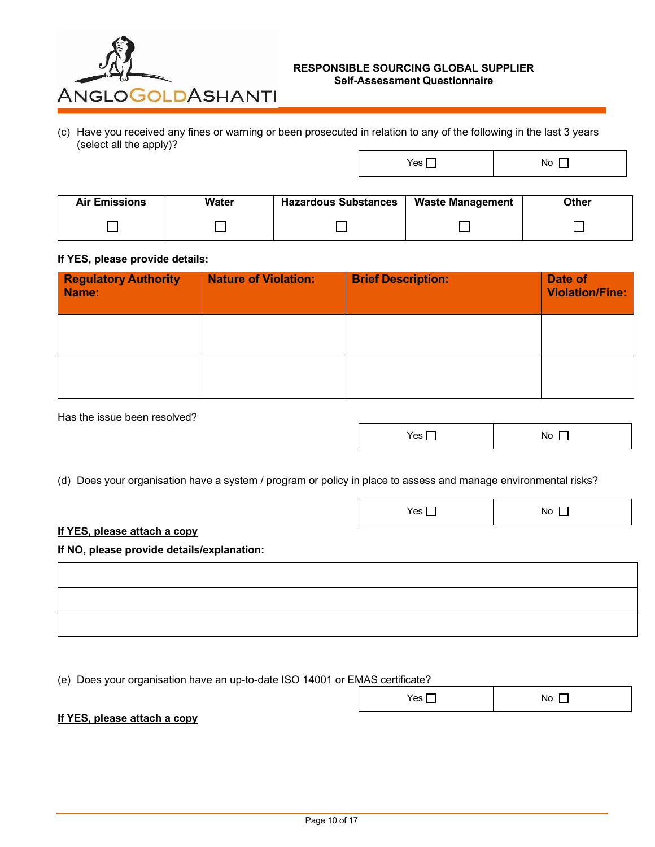

(c) Have you received any fines or warning or been prosecuted in relation to any of the following in the last 3 years (select all the apply)?

Yes No

| <b>Air Emissions</b> | Water | <b>Hazardous Substances</b> | <b>Waste Management</b> | Other |
|----------------------|-------|-----------------------------|-------------------------|-------|
|                      |       |                             |                         |       |

#### **If YES, please provide details:**

| <b>Regulatory Authority</b><br>Name: | <b>Nature of Violation:</b> | <b>Brief Description:</b> | Date of<br><b>Violation/Fine:</b> |
|--------------------------------------|-----------------------------|---------------------------|-----------------------------------|
|                                      |                             |                           |                                   |
|                                      |                             |                           |                                   |

Has the issue been resolved?

| Yes<br><b>INO</b> |
|-------------------|
|-------------------|

Yes No

(d) Does your organisation have a system / program or policy in place to assess and manage environmental risks?

### **If YES, please attach a copy**

**If NO, please provide details/explanation:**

(e) Does your organisation have an up-to-date ISO 14001 or EMAS certificate?

|--|

## **If YES, please attach a copy**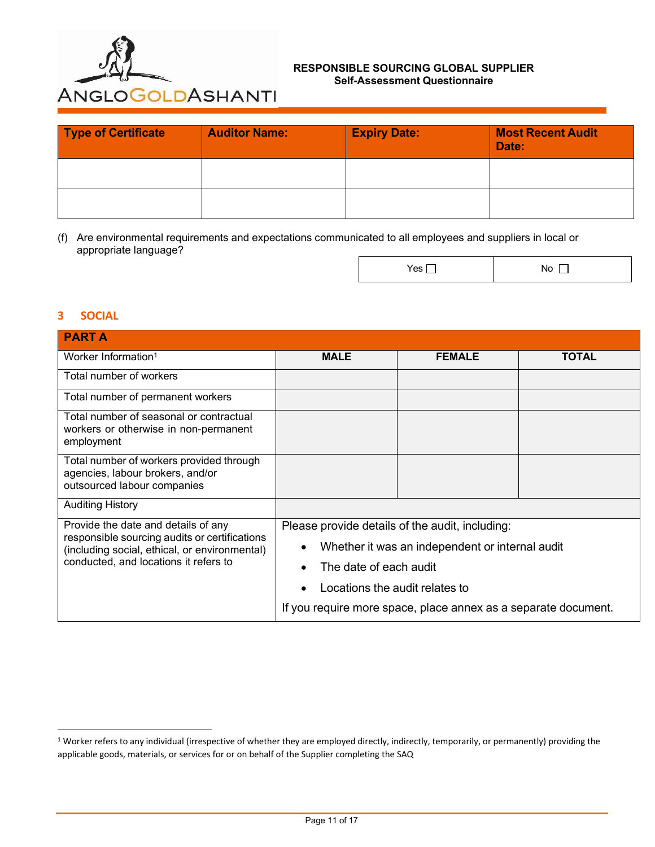

| Type of Certificate | <b>Auditor Name:</b> | <b>Expiry Date:</b> | <b>Most Recent Audit</b><br>Date: |
|---------------------|----------------------|---------------------|-----------------------------------|
|                     |                      |                     |                                   |
|                     |                      |                     |                                   |

(f) Are environmental requirements and expectations communicated to all employees and suppliers in local or appropriate language?

## **3 SOCIAL**

| <b>PARTA</b>                                                                                                                                                                   |                                                              |               |              |  |
|--------------------------------------------------------------------------------------------------------------------------------------------------------------------------------|--------------------------------------------------------------|---------------|--------------|--|
| Worker Information <sup>1</sup>                                                                                                                                                | <b>MALE</b>                                                  | <b>FEMALE</b> | <b>TOTAL</b> |  |
| Total number of workers                                                                                                                                                        |                                                              |               |              |  |
| Total number of permanent workers                                                                                                                                              |                                                              |               |              |  |
| Total number of seasonal or contractual<br>workers or otherwise in non-permanent<br>employment                                                                                 |                                                              |               |              |  |
| Total number of workers provided through<br>agencies, labour brokers, and/or<br>outsourced labour companies                                                                    |                                                              |               |              |  |
| <b>Auditing History</b>                                                                                                                                                        |                                                              |               |              |  |
| Provide the date and details of any<br>responsible sourcing audits or certifications<br>(including social, ethical, or environmental)<br>conducted, and locations it refers to | Please provide details of the audit, including:              |               |              |  |
|                                                                                                                                                                                | Whether it was an independent or internal audit<br>$\bullet$ |               |              |  |
|                                                                                                                                                                                | The date of each audit                                       |               |              |  |
|                                                                                                                                                                                | Locations the audit relates to                               |               |              |  |
| If you require more space, place annex as a separate document.                                                                                                                 |                                                              |               |              |  |

<sup>&</sup>lt;sup>1</sup> Worker refers to any individual (irrespective of whether they are employed directly, indirectly, temporarily, or permanently) providing the applicable goods, materials, or services for or on behalf of the Supplier completing the SAQ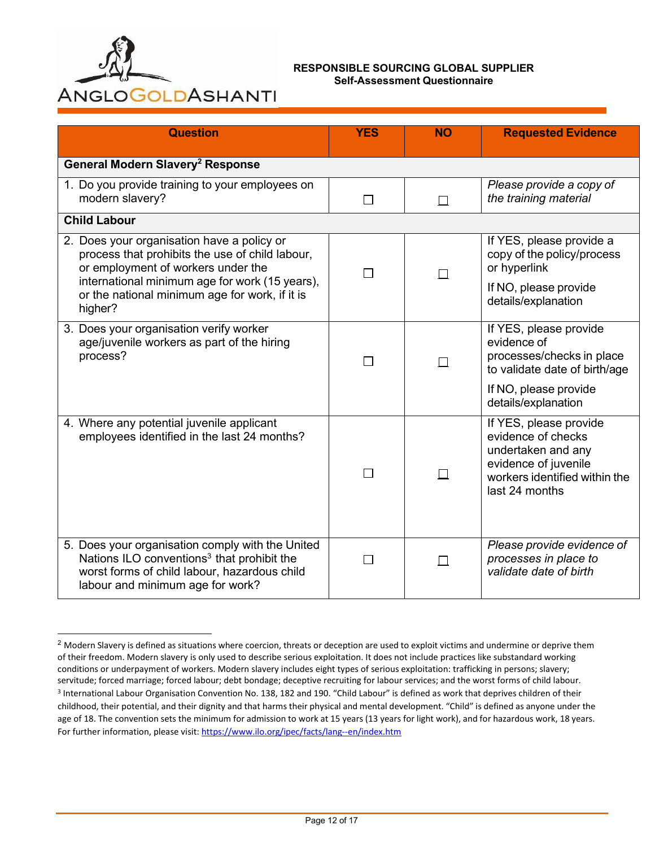

| <b>Question</b>                                                                                                                                                                                                                                    | <b>YES</b>               | <b>NO</b>    | <b>Requested Evidence</b>                                                                                                                           |  |
|----------------------------------------------------------------------------------------------------------------------------------------------------------------------------------------------------------------------------------------------------|--------------------------|--------------|-----------------------------------------------------------------------------------------------------------------------------------------------------|--|
| General Modern Slavery <sup>2</sup> Response                                                                                                                                                                                                       |                          |              |                                                                                                                                                     |  |
| 1. Do you provide training to your employees on<br>modern slavery?                                                                                                                                                                                 | $\Box$                   | $\Box$       | Please provide a copy of<br>the training material                                                                                                   |  |
| <b>Child Labour</b>                                                                                                                                                                                                                                |                          |              |                                                                                                                                                     |  |
| 2. Does your organisation have a policy or<br>process that prohibits the use of child labour,<br>or employment of workers under the<br>international minimum age for work (15 years),<br>or the national minimum age for work, if it is<br>higher? | $\overline{\phantom{a}}$ |              | If YES, please provide a<br>copy of the policy/process<br>or hyperlink<br>If NO, please provide<br>details/explanation                              |  |
| 3. Does your organisation verify worker<br>age/juvenile workers as part of the hiring<br>process?                                                                                                                                                  | $\mathbf{L}$             | П            | If YES, please provide<br>evidence of<br>processes/checks in place<br>to validate date of birth/age<br>If NO, please provide<br>details/explanation |  |
| 4. Where any potential juvenile applicant<br>employees identified in the last 24 months?                                                                                                                                                           | $\overline{\phantom{a}}$ |              | If YES, please provide<br>evidence of checks<br>undertaken and any<br>evidence of juvenile<br>workers identified within the<br>last 24 months       |  |
| 5. Does your organisation comply with the United<br>Nations ILO conventions <sup>3</sup> that prohibit the<br>worst forms of child labour, hazardous child<br>labour and minimum age for work?                                                     | П                        | $\mathsf{L}$ | Please provide evidence of<br>processes in place to<br>validate date of birth                                                                       |  |

<sup>&</sup>lt;sup>2</sup> Modern Slavery is defined as situations where coercion, threats or deception are used to exploit victims and undermine or deprive them of their freedom. Modern slavery is only used to describe serious exploitation. It does not include practices like substandard working conditions or underpayment of workers. Modern slavery includes eight types of serious exploitation: trafficking in persons; slavery; servitude; forced marriage; forced labour; debt bondage; deceptive recruiting for labour services; and the worst forms of child labour. <sup>3</sup> International Labour Organisation Convention No. 138, 182 and 190. "Child Labour" is defined as work that deprives children of their childhood, their potential, and their dignity and that harms their physical and mental development. "Child" is defined as anyone under the age of 18. The convention sets the minimum for admission to work at 15 years (13 years for light work), and for hazardous work, 18 years. For further information, please visit[: https://www.ilo.org/ipec/facts/lang--en/index.htm](https://www.ilo.org/ipec/facts/lang--en/index.htm)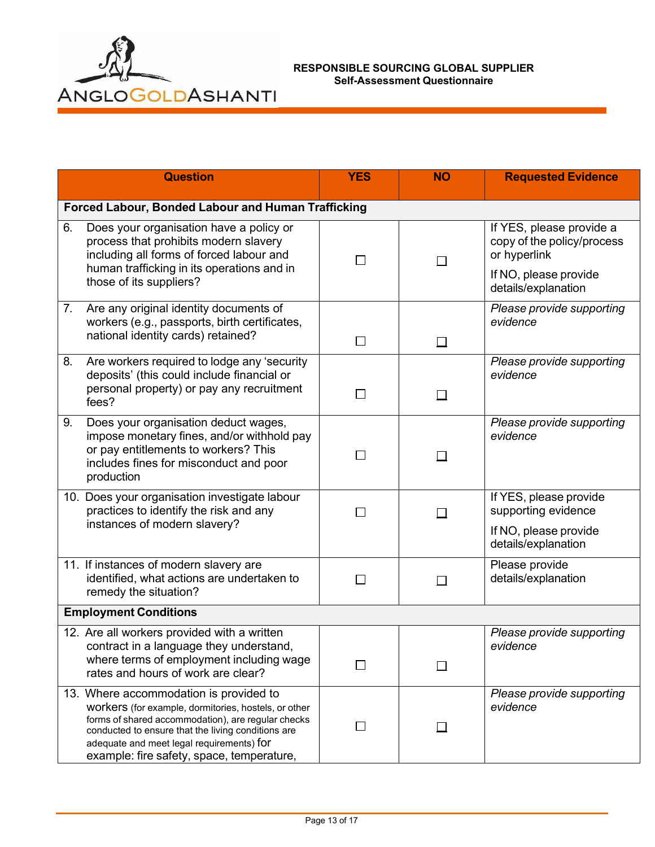

|                              | <b>Question</b>                                                                                                                                                                                                                                                                                      | <b>YES</b>    | <b>NO</b> | <b>Requested Evidence</b>                                                                                              |
|------------------------------|------------------------------------------------------------------------------------------------------------------------------------------------------------------------------------------------------------------------------------------------------------------------------------------------------|---------------|-----------|------------------------------------------------------------------------------------------------------------------------|
|                              | Forced Labour, Bonded Labour and Human Trafficking                                                                                                                                                                                                                                                   |               |           |                                                                                                                        |
| 6.                           | Does your organisation have a policy or<br>process that prohibits modern slavery<br>including all forms of forced labour and<br>human trafficking in its operations and in<br>those of its suppliers?                                                                                                | $\mathsf{L}$  |           | If YES, please provide a<br>copy of the policy/process<br>or hyperlink<br>If NO, please provide<br>details/explanation |
| 7.                           | Are any original identity documents of<br>workers (e.g., passports, birth certificates,<br>national identity cards) retained?                                                                                                                                                                        | $\Box$        | $\Box$    | Please provide supporting<br>evidence                                                                                  |
| 8.                           | Are workers required to lodge any 'security<br>deposits' (this could include financial or<br>personal property) or pay any recruitment<br>fees?                                                                                                                                                      | $\Box$        | $\perp$   | Please provide supporting<br>evidence                                                                                  |
| 9.                           | Does your organisation deduct wages,<br>impose monetary fines, and/or withhold pay<br>or pay entitlements to workers? This<br>includes fines for misconduct and poor<br>production                                                                                                                   | $\mathsf{L}$  |           | Please provide supporting<br>evidence                                                                                  |
|                              | 10. Does your organisation investigate labour<br>practices to identify the risk and any<br>instances of modern slavery?                                                                                                                                                                              | $\Box$        |           | If YES, please provide<br>supporting evidence<br>If NO, please provide<br>details/explanation                          |
|                              | 11. If instances of modern slavery are<br>identified, what actions are undertaken to<br>remedy the situation?                                                                                                                                                                                        | $\mathsf{L}$  | П         | Please provide<br>details/explanation                                                                                  |
| <b>Employment Conditions</b> |                                                                                                                                                                                                                                                                                                      |               |           |                                                                                                                        |
|                              | 12. Are all workers provided with a written<br>contract in a language they understand,<br>where terms of employment including wage<br>rates and hours of work are clear?                                                                                                                             |               |           | Please provide supporting<br>evidence                                                                                  |
|                              | 13. Where accommodation is provided to<br>workers (for example, dormitories, hostels, or other<br>forms of shared accommodation), are regular checks<br>conducted to ensure that the living conditions are<br>adequate and meet legal requirements) for<br>example: fire safety, space, temperature, | $\mathcal{L}$ |           | Please provide supporting<br>evidence                                                                                  |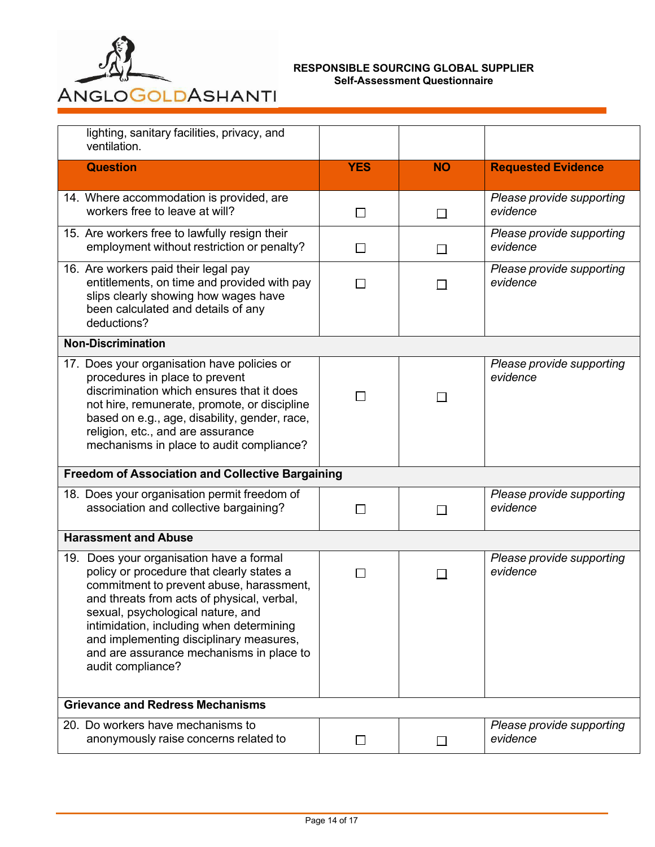

| lighting, sanitary facilities, privacy, and<br>ventilation.                                                                                                                                                                                                                                                                                                                  |                                                         |                |                                       |  |  |
|------------------------------------------------------------------------------------------------------------------------------------------------------------------------------------------------------------------------------------------------------------------------------------------------------------------------------------------------------------------------------|---------------------------------------------------------|----------------|---------------------------------------|--|--|
| <b>Question</b>                                                                                                                                                                                                                                                                                                                                                              | <b>YES</b>                                              | <b>NO</b>      | <b>Requested Evidence</b>             |  |  |
| 14. Where accommodation is provided, are<br>workers free to leave at will?                                                                                                                                                                                                                                                                                                   | $\Box$                                                  | $\Box$         | Please provide supporting<br>evidence |  |  |
| 15. Are workers free to lawfully resign their<br>employment without restriction or penalty?                                                                                                                                                                                                                                                                                  | П                                                       | $\Box$         | Please provide supporting<br>evidence |  |  |
| 16. Are workers paid their legal pay<br>entitlements, on time and provided with pay<br>slips clearly showing how wages have<br>been calculated and details of any<br>deductions?                                                                                                                                                                                             |                                                         | $\blacksquare$ | Please provide supporting<br>evidence |  |  |
| <b>Non-Discrimination</b>                                                                                                                                                                                                                                                                                                                                                    |                                                         |                |                                       |  |  |
| 17. Does your organisation have policies or<br>procedures in place to prevent<br>discrimination which ensures that it does<br>not hire, remunerate, promote, or discipline<br>based on e.g., age, disability, gender, race,<br>religion, etc., and are assurance<br>mechanisms in place to audit compliance?                                                                 | $\mathsf{L}$                                            |                | Please provide supporting<br>evidence |  |  |
|                                                                                                                                                                                                                                                                                                                                                                              | <b>Freedom of Association and Collective Bargaining</b> |                |                                       |  |  |
| 18. Does your organisation permit freedom of<br>association and collective bargaining?                                                                                                                                                                                                                                                                                       | $\mathsf{L}$                                            |                | Please provide supporting<br>evidence |  |  |
| <b>Harassment and Abuse</b>                                                                                                                                                                                                                                                                                                                                                  |                                                         |                |                                       |  |  |
| 19. Does your organisation have a formal<br>policy or procedure that clearly states a<br>commitment to prevent abuse, harassment,<br>and threats from acts of physical, verbal,<br>sexual, psychological nature, and<br>intimidation, including when determining<br>and implementing disciplinary measures,<br>and are assurance mechanisms in place to<br>audit compliance? | $\mathcal{L}$                                           |                | Please provide supporting<br>evidence |  |  |
| <b>Grievance and Redress Mechanisms</b>                                                                                                                                                                                                                                                                                                                                      |                                                         |                |                                       |  |  |
| 20. Do workers have mechanisms to<br>anonymously raise concerns related to                                                                                                                                                                                                                                                                                                   | $\Box$                                                  |                | Please provide supporting<br>evidence |  |  |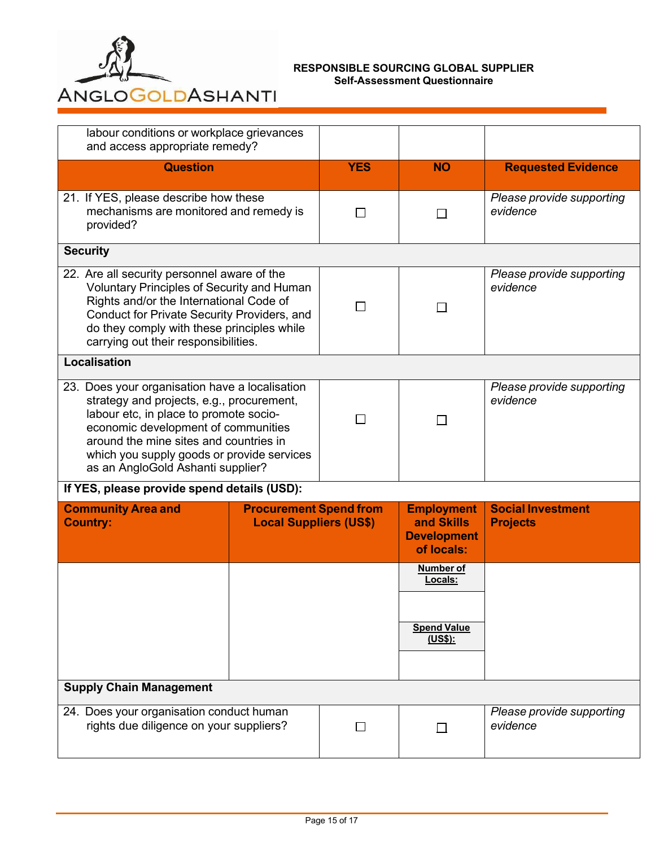

| labour conditions or workplace grievances<br>and access appropriate remedy?                                                                                                                                                                                                                               |                                                                |                     |                                                                                         |                                             |
|-----------------------------------------------------------------------------------------------------------------------------------------------------------------------------------------------------------------------------------------------------------------------------------------------------------|----------------------------------------------------------------|---------------------|-----------------------------------------------------------------------------------------|---------------------------------------------|
| <b>Question</b>                                                                                                                                                                                                                                                                                           |                                                                | <b>YES</b>          | <b>NO</b>                                                                               | <b>Requested Evidence</b>                   |
| 21. If YES, please describe how these<br>mechanisms are monitored and remedy is<br>provided?                                                                                                                                                                                                              |                                                                | П                   | П                                                                                       | Please provide supporting<br>evidence       |
| <b>Security</b>                                                                                                                                                                                                                                                                                           |                                                                |                     |                                                                                         |                                             |
| 22. Are all security personnel aware of the<br>Voluntary Principles of Security and Human<br>Rights and/or the International Code of<br>Conduct for Private Security Providers, and<br>do they comply with these principles while<br>carrying out their responsibilities.                                 |                                                                | $\mathsf{L}$        | $\Box$                                                                                  | Please provide supporting<br>evidence       |
| <b>Localisation</b>                                                                                                                                                                                                                                                                                       |                                                                |                     |                                                                                         |                                             |
| 23. Does your organisation have a localisation<br>strategy and projects, e.g., procurement,<br>labour etc, in place to promote socio-<br>economic development of communities<br>around the mine sites and countries in<br>which you supply goods or provide services<br>as an AngloGold Ashanti supplier? |                                                                | $\Box$              | П                                                                                       | Please provide supporting<br>evidence       |
| If YES, please provide spend details (USD):                                                                                                                                                                                                                                                               |                                                                |                     |                                                                                         |                                             |
| <b>Community Area and</b><br><b>Country:</b>                                                                                                                                                                                                                                                              | <b>Procurement Spend from</b><br><b>Local Suppliers (US\$)</b> |                     | <b>Employment</b><br>and Skills<br><b>Development</b><br>of locals:<br><b>Number of</b> | <b>Social Investment</b><br><b>Projects</b> |
|                                                                                                                                                                                                                                                                                                           |                                                                |                     | Locals:<br><b>Spend Value</b><br>(US\$):                                                |                                             |
|                                                                                                                                                                                                                                                                                                           |                                                                |                     |                                                                                         |                                             |
| <b>Supply Chain Management</b>                                                                                                                                                                                                                                                                            |                                                                |                     |                                                                                         |                                             |
| 24. Does your organisation conduct human<br>rights due diligence on your suppliers?                                                                                                                                                                                                                       |                                                                | <b>In the State</b> | П                                                                                       | Please provide supporting<br>evidence       |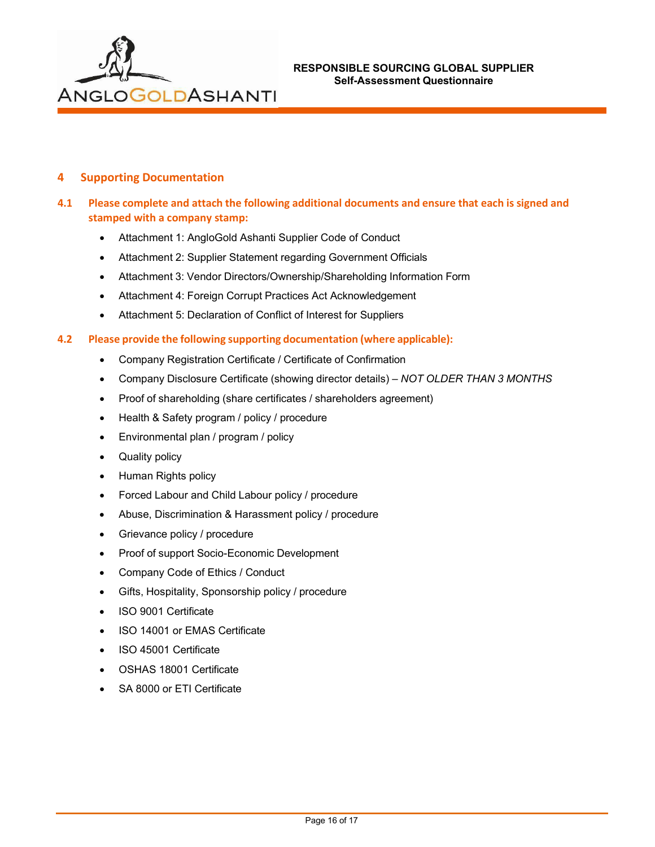

## **4 Supporting Documentation**

## **4.1 Please complete and attach the following additional documents and ensure that each is signed and stamped with a company stamp:**

- Attachment 1: AngloGold Ashanti Supplier Code of Conduct
- Attachment 2: Supplier Statement regarding Government Officials
- Attachment 3: Vendor Directors/Ownership/Shareholding Information Form
- Attachment 4: Foreign Corrupt Practices Act Acknowledgement
- Attachment 5: Declaration of Conflict of Interest for Suppliers

### **4.2 Please provide the following supporting documentation (where applicable):**

- Company Registration Certificate / Certificate of Confirmation
- Company Disclosure Certificate (showing director details) *NOT OLDER THAN 3 MONTHS*
- Proof of shareholding (share certificates / shareholders agreement)
- Health & Safety program / policy / procedure
- Environmental plan / program / policy
- Quality policy
- Human Rights policy
- Forced Labour and Child Labour policy / procedure
- Abuse, Discrimination & Harassment policy / procedure
- Grievance policy / procedure
- Proof of support Socio-Economic Development
- Company Code of Ethics / Conduct
- Gifts, Hospitality, Sponsorship policy / procedure
- ISO 9001 Certificate
- ISO 14001 or EMAS Certificate
- ISO 45001 Certificate
- OSHAS 18001 Certificate
- SA 8000 or ETI Certificate